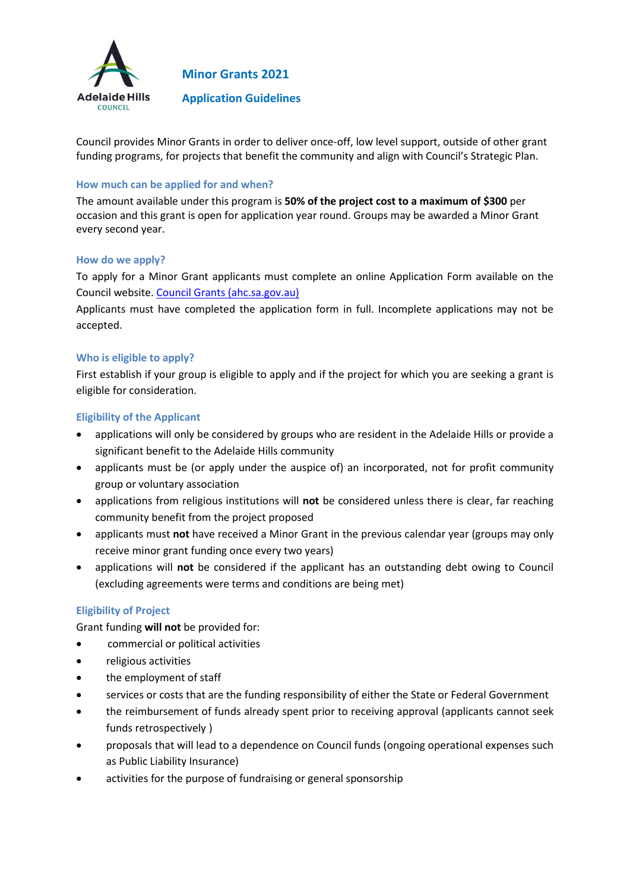

**Minor Grants 2021**

**Application Guidelines**

Council provides Minor Grants in order to deliver once-off, low level support, outside of other grant funding programs, for projects that benefit the community and align with Council's Strategic Plan.

### **How much can be applied for and when?**

The amount available under this program is **50% of the project cost to a maximum of \$300** per occasion and this grant is open for application year round. Groups may be awarded a Minor Grant every second year.

#### **How do we apply?**

To apply for a Minor Grant applicants must complete an online Application Form available on the Council website. [Council Grants \(ahc.sa.gov.au\)](https://www.ahc.sa.gov.au/council/grants)

Applicants must have completed the application form in full. Incomplete applications may not be accepted.

### **Who is eligible to apply?**

First establish if your group is eligible to apply and if the project for which you are seeking a grant is eligible for consideration.

### **Eligibility of the Applicant**

- applications will only be considered by groups who are resident in the Adelaide Hills or provide a significant benefit to the Adelaide Hills community
- applicants must be (or apply under the auspice of) an incorporated, not for profit community group or voluntary association
- applications from religious institutions will **not** be considered unless there is clear, far reaching community benefit from the project proposed
- applicants must **not** have received a Minor Grant in the previous calendar year (groups may only receive minor grant funding once every two years)
- applications will **not** be considered if the applicant has an outstanding debt owing to Council (excluding agreements were terms and conditions are being met)

## **Eligibility of Project**

Grant funding **will not** be provided for:

- commercial or political activities
- religious activities
- the employment of staff
- services or costs that are the funding responsibility of either the State or Federal Government
- the reimbursement of funds already spent prior to receiving approval (applicants cannot seek funds retrospectively )
- proposals that will lead to a dependence on Council funds (ongoing operational expenses such as Public Liability Insurance)
- activities for the purpose of fundraising or general sponsorship